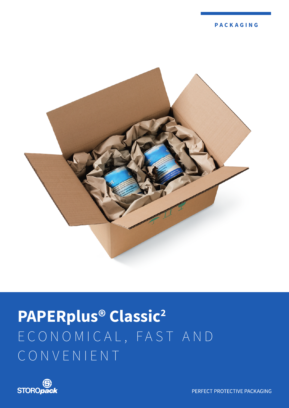

# **PAPERplus® Classic2** E C O N O M I C A L , F A S T A N D CONVENIENT



PERFECT PROTECTIVE PACKAGING